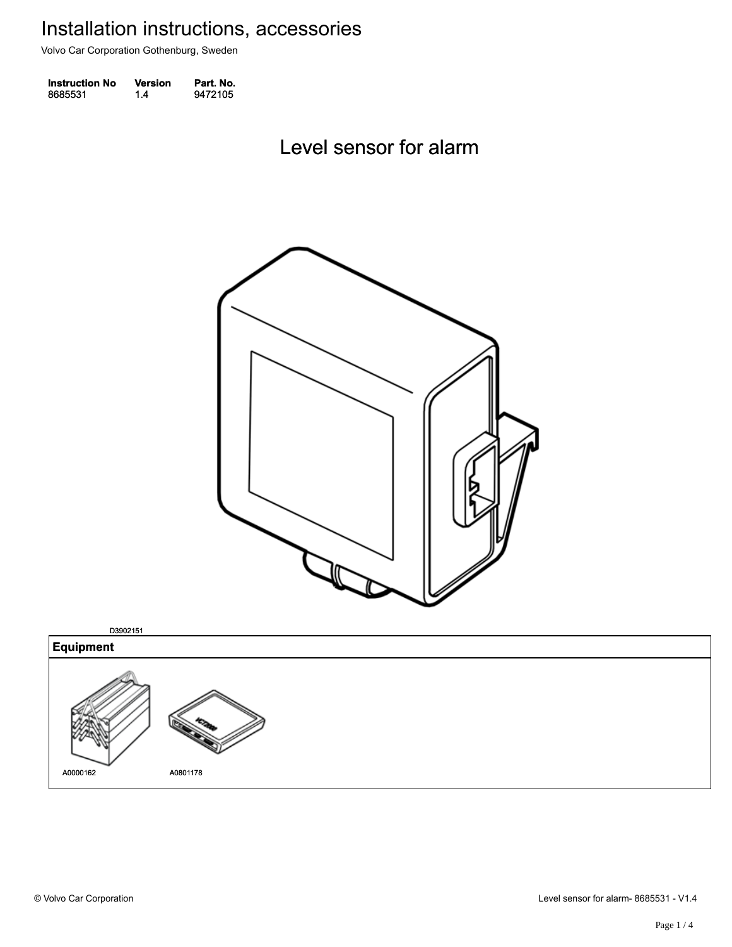Volvo Car Corporation Gothenburg, Sweden

| <b>Instruction No</b> | Version | Part. No. |
|-----------------------|---------|-----------|
| 8685531               | 1.4     | 9472105   |

Level sensor for alarm Level sensor for alarm



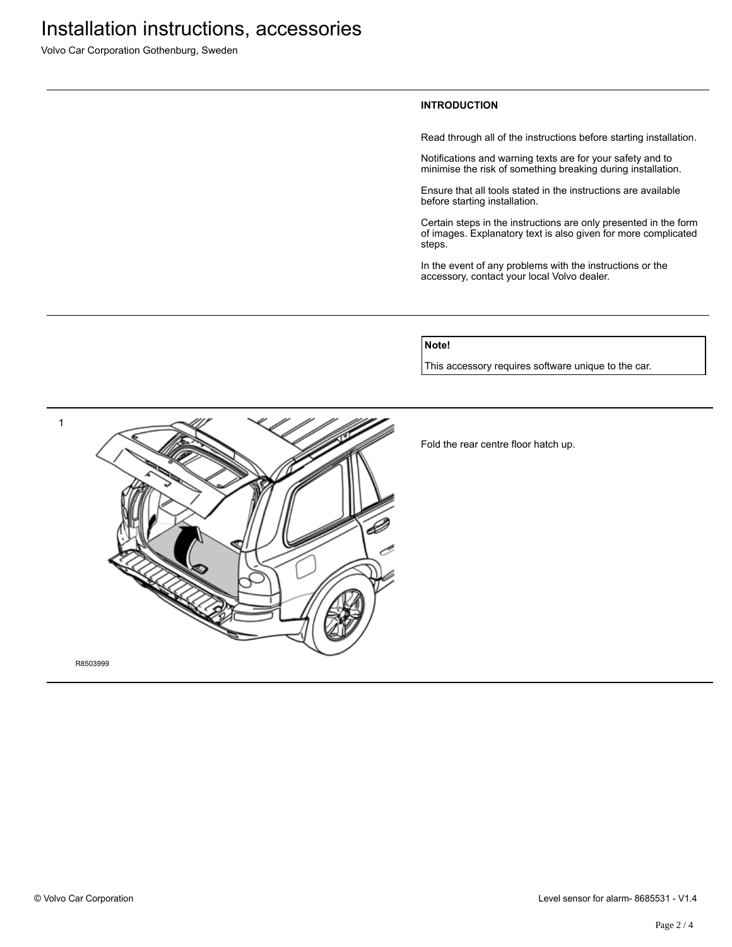Volvo Car Corporation Gothenburg, Sweden

### **INTRODUCTION**

Read through all of the instructions before starting installation.

Notifications and warning texts are for your safety and to minimise the risk of something breaking during installation.

Ensure that all tools stated in the instructions are available before starting installation.

Certain steps in the instructions are only presented in the form of images. Explanatory text is also given for more complicated steps.

In the event of any problems with the instructions or the accessory, contact your local Volvo dealer.

### **Note!**

This accessory requires software unique to the car.



Fold the rear centre floor hatch up.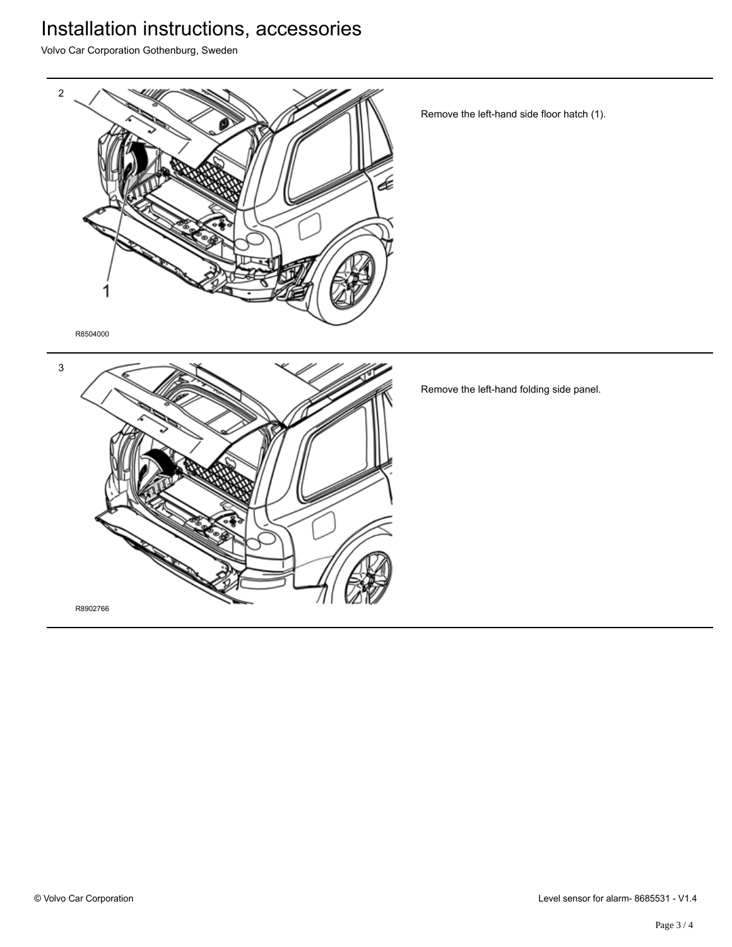# Installation instructions, accessories

Volvo Car Corporation Gothenburg, Sweden



Remove the left-hand side floor hatch (1).

R8504000



Remove the left-hand folding side panel.